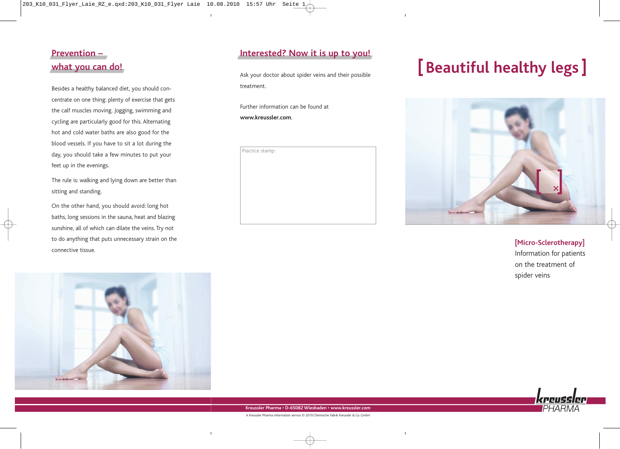## **Prevention – what you can do!**

Besides a healthy balanced diet, you should concentrate on one thing: plenty of exercise that gets the calf muscles moving. Jogging, swimming and cycling are particularly good for this. Alternating hot and cold water baths are also good for the blood vessels. If you have to sit a lot during the day, you should take a few minutes to put your feet up in the evenings.

The rule is: walking and lying down are better than sitting and standing.

On the other hand, you should avoid: long hot baths, long sessions in the sauna, heat and blazing sunshine, all of which can dilate the veins. Try not to do anything that puts unnecessary strain on the connective tissue.



Ask your doctor about spider veins and their possible treatment.

Further information can be found at **www.kreussler.com**.

| Practice stamp: |  |  |  |
|-----------------|--|--|--|
|                 |  |  |  |
|                 |  |  |  |
|                 |  |  |  |
|                 |  |  |  |
|                 |  |  |  |
|                 |  |  |  |
|                 |  |  |  |
|                 |  |  |  |

# **Beautiful healthy legs**



**[Micro-Sclerotherapy]** Information for patients on the treatment of spider veins

PHAR



**Kreussler Pharma • D-65082 Wiesbaden • www.kreussler.com**

A Kreussler Pharma information service © 2010 Chemische Fabrik Kreussler & Co. GmbH